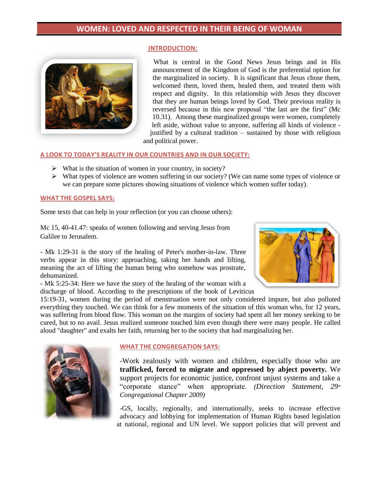#### **INTRODUCTION:**



What is central in the Good News Jesus brings and in His announcement of the Kingdom of God is the preferential option for the marginalized in society. It is significant that Jesus chose them, welcomed them, loved them, healed them, and treated them with respect and dignity. In this relationship with Jesus they discover that they are human beings loved by God. Their previous reality is reversed because in this new proposal "the last are the first" (Mc 10.31). Among these marginalized groups were women, completely left aside, without value to anyone, suffering all kinds of violence justified by a cultural tradition – sustained by those with religious and political power.

### **A LOOK TO TODAY'S REALITY IN OUR COUNTRIES AND IN OUR SOCIETY:**

- $\triangleright$  What is the situation of women in your country, in society?
- $\triangleright$  What types of violence are women suffering in our society? (We can name some types of violence or we can prepare some pictures showing situations of violence which women suffer today).

#### **WHAT THE GOSPEL SAYS:**

Some texts that can help in your reflection (or you can choose others):

Mc 15, 40-41.47: speaks of women following and serving Jesus from Galilee to Jerusalem.

- Mk 1:29-31 is the story of the healing of Peter's mother-in-law. Three verbs appear in this story: approaching, taking her hands and lifting, meaning the act of lifting the human being who somehow was prostrate, dehumanized.

- Mk 5:25-34: Here we have the story of the healing of the woman with a discharge of blood. According to the prescriptions of the book of Leviticus

15:19-31, women during the period of menstruation were not only considered impure, but also polluted everything they touched. We can think for a few moments of the situation of this woman who, for 12 years, was suffering from blood flow. This woman on the margins of society had spent all her money seeking to be cured, but to no avail. Jesus realized someone touched him even though there were many people. He called aloud "daughter" and exalts her faith, returning her to the society that had marginalizing her.



#### **WHAT THE CONGREGATION SAYS:**

-Work zealously with women and children, especially those who are **trafficked, forced to migrate and oppressed by abject poverty.** We support projects for economic justice, confront unjust systems and take a "corporate stance" when appropriate. *(Direction Statement, 29th Congregational Chapter 2009)*

-GS, locally, regionally, and internationally, seeks to increase effective advocacy and lobbying for implementation of Human Rights based legislation at national, regional and UN level. We support policies that will prevent and